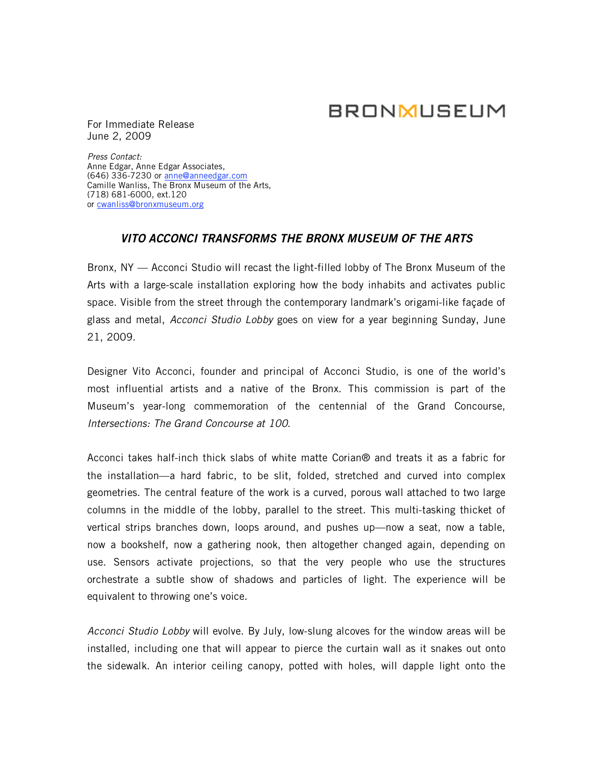# **BRONMUSEUM**

For Immediate Release June 2, 2009

*Press Contact:*  Anne Edgar, Anne Edgar Associates, (646) 336-7230 or anne@anneedgar.com Camille Wanliss, The Bronx Museum of the Arts, (718) 681-6000, ext.120 or cwanliss@bronxmuseum.org

## *VITO ACCONCI TRANSFORMS THE BRONX MUSEUM OF THE ARTS*

Bronx, NY — Acconci Studio will recast the light-filled lobby of The Bronx Museum of the Arts with a large-scale installation exploring how the body inhabits and activates public space. Visible from the street through the contemporary landmark's origami-like façade of glass and metal, *Acconci Studio Lobby* goes on view for a year beginning Sunday, June 21, 2009.

Designer Vito Acconci, founder and principal of Acconci Studio, is one of the world's most influential artists and a native of the Bronx. This commission is part of the Museum's year-long commemoration of the centennial of the Grand Concourse, *Intersections: The Grand Concourse at 100*.

Acconci takes half-inch thick slabs of white matte Corian® and treats it as a fabric for the installation—a hard fabric, to be slit, folded, stretched and curved into complex geometries. The central feature of the work is a curved, porous wall attached to two large columns in the middle of the lobby, parallel to the street. This multi-tasking thicket of vertical strips branches down, loops around, and pushes up—now a seat, now a table, now a bookshelf, now a gathering nook, then altogether changed again, depending on use. Sensors activate projections, so that the very people who use the structures orchestrate a subtle show of shadows and particles of light. The experience will be equivalent to throwing one's voice.

*Acconci Studio Lobby* will evolve. By July, low-slung alcoves for the window areas will be installed, including one that will appear to pierce the curtain wall as it snakes out onto the sidewalk. An interior ceiling canopy, potted with holes, will dapple light onto the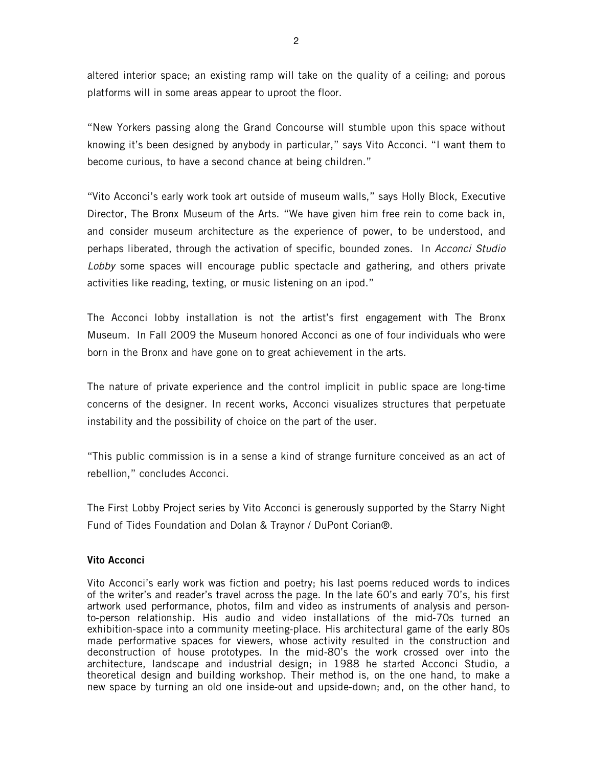altered interior space; an existing ramp will take on the quality of a ceiling; and porous platforms will in some areas appear to uproot the floor.

"New Yorkers passing along the Grand Concourse will stumble upon this space without knowing it's been designed by anybody in particular," says Vito Acconci. "I want them to become curious, to have a second chance at being children."

"Vito Acconci's early work took art outside of museum walls," says Holly Block, Executive Director, The Bronx Museum of the Arts. "We have given him free rein to come back in, and consider museum architecture as the experience of power, to be understood, and perhaps liberated, through the activation of specific, bounded zones. In *Acconci Studio Lobby* some spaces will encourage public spectacle and gathering, and others private activities like reading, texting, or music listening on an ipod."

The Acconci lobby installation is not the artist's first engagement with The Bronx Museum. In Fall 2009 the Museum honored Acconci as one of four individuals who were born in the Bronx and have gone on to great achievement in the arts.

The nature of private experience and the control implicit in public space are long-time concerns of the designer. In recent works, Acconci visualizes structures that perpetuate instability and the possibility of choice on the part of the user.

"This public commission is in a sense a kind of strange furniture conceived as an act of rebellion," concludes Acconci.

The First Lobby Project series by Vito Acconci is generously supported by the Starry Night Fund of Tides Foundation and Dolan & Traynor / DuPont Corian®.

## **Vito Acconci**

Vito Acconci's early work was fiction and poetry; his last poems reduced words to indices of the writer's and reader's travel across the page. In the late 60's and early 70's, his first artwork used performance, photos, film and video as instruments of analysis and personto-person relationship. His audio and video installations of the mid-70s turned an exhibition-space into a community meeting-place. His architectural game of the early 80s made performative spaces for viewers, whose activity resulted in the construction and deconstruction of house prototypes. In the mid-80's the work crossed over into the architecture, landscape and industrial design; in 1988 he started Acconci Studio, a theoretical design and building workshop. Their method is, on the one hand, to make a new space by turning an old one inside-out and upside-down; and, on the other hand, to